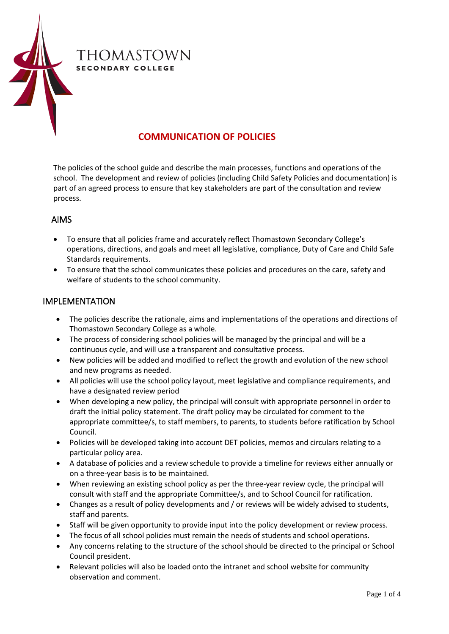

## **COMMUNICATION OF POLICIES**

The policies of the school guide and describe the main processes, functions and operations of the school. The development and review of policies (including Child Safety Policies and documentation) is part of an agreed process to ensure that key stakeholders are part of the consultation and review process.

## AIMS

- To ensure that all policies frame and accurately reflect Thomastown Secondary College's operations, directions, and goals and meet all legislative, compliance, Duty of Care and Child Safe Standards requirements.
- To ensure that the school communicates these policies and procedures on the care, safety and welfare of students to the school community.

## IMPLEMENTATION

- The policies describe the rationale, aims and implementations of the operations and directions of Thomastown Secondary College as a whole.
- The process of considering school policies will be managed by the principal and will be a continuous cycle, and will use a transparent and consultative process.
- New policies will be added and modified to reflect the growth and evolution of the new school and new programs as needed.
- All policies will use the school policy layout, meet legislative and compliance requirements, and have a designated review period
- When developing a new policy, the principal will consult with appropriate personnel in order to draft the initial policy statement. The draft policy may be circulated for comment to the appropriate committee/s, to staff members, to parents, to students before ratification by School Council.
- Policies will be developed taking into account DET policies, memos and circulars relating to a particular policy area.
- A database of policies and a review schedule to provide a timeline for reviews either annually or on a three-year basis is to be maintained.
- When reviewing an existing school policy as per the three-year review cycle, the principal will consult with staff and the appropriate Committee/s, and to School Council for ratification.
- Changes as a result of policy developments and / or reviews will be widely advised to students, staff and parents.
- Staff will be given opportunity to provide input into the policy development or review process.
- The focus of all school policies must remain the needs of students and school operations.
- Any concerns relating to the structure of the school should be directed to the principal or School Council president.
- Relevant policies will also be loaded onto the intranet and school website for community observation and comment.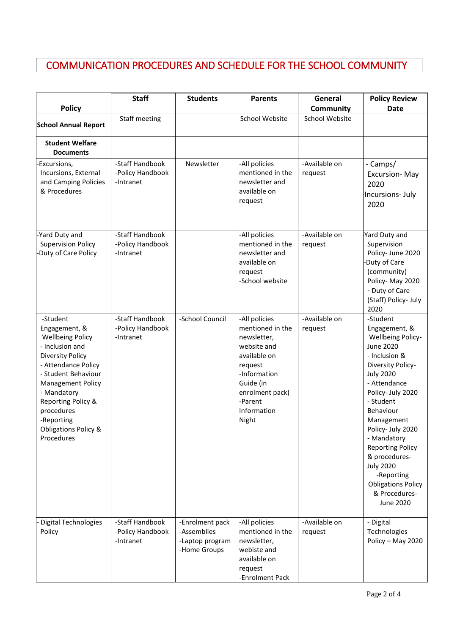## COMMUNICATION PROCEDURES AND SCHEDULE FOR THE SCHOOL COMMUNITY

ı

|                                                                                                                                                                                                                                                                                     | <b>Staff</b>                                     | <b>Students</b>                                                   | <b>Parents</b>                                                                                                                                                                | General                  | <b>Policy Review</b>                                                                                                                                                                                                                                                                                                                                                                                 |
|-------------------------------------------------------------------------------------------------------------------------------------------------------------------------------------------------------------------------------------------------------------------------------------|--------------------------------------------------|-------------------------------------------------------------------|-------------------------------------------------------------------------------------------------------------------------------------------------------------------------------|--------------------------|------------------------------------------------------------------------------------------------------------------------------------------------------------------------------------------------------------------------------------------------------------------------------------------------------------------------------------------------------------------------------------------------------|
| <b>Policy</b>                                                                                                                                                                                                                                                                       |                                                  |                                                                   |                                                                                                                                                                               | <b>Community</b>         | <b>Date</b>                                                                                                                                                                                                                                                                                                                                                                                          |
| <b>School Annual Report</b>                                                                                                                                                                                                                                                         | Staff meeting                                    |                                                                   | School Website                                                                                                                                                                | School Website           |                                                                                                                                                                                                                                                                                                                                                                                                      |
| <b>Student Welfare</b><br><b>Documents</b>                                                                                                                                                                                                                                          |                                                  |                                                                   |                                                                                                                                                                               |                          |                                                                                                                                                                                                                                                                                                                                                                                                      |
| Excursions,<br>Incursions, External<br>and Camping Policies<br>& Procedures                                                                                                                                                                                                         | -Staff Handbook<br>-Policy Handbook<br>-Intranet | Newsletter                                                        | -All policies<br>mentioned in the<br>newsletter and<br>available on<br>request                                                                                                | -Available on<br>request | - Camps/<br>Excursion-May<br>2020<br>Incursions-July<br>2020                                                                                                                                                                                                                                                                                                                                         |
| -Yard Duty and<br><b>Supervision Policy</b><br>Duty of Care Policy                                                                                                                                                                                                                  | -Staff Handbook<br>-Policy Handbook<br>-Intranet |                                                                   | -All policies<br>mentioned in the<br>newsletter and<br>available on<br>request<br>-School website                                                                             | -Available on<br>request | Yard Duty and<br>Supervision<br>Policy- June 2020<br>Duty of Care<br>(community)<br>Policy-May 2020<br>- Duty of Care<br>(Staff) Policy- July<br>2020                                                                                                                                                                                                                                                |
| -Student<br>Engagement, &<br><b>Wellbeing Policy</b><br>- Inclusion and<br><b>Diversity Policy</b><br>- Attendance Policy<br>- Student Behaviour<br><b>Management Policy</b><br>- Mandatory<br>Reporting Policy &<br>procedures<br>-Reporting<br>Obligations Policy &<br>Procedures | -Staff Handbook<br>-Policy Handbook<br>-Intranet | -School Council                                                   | -All policies<br>mentioned in the<br>newsletter,<br>website and<br>available on<br>request<br>-Information<br>Guide (in<br>enrolment pack)<br>-Parent<br>Information<br>Night | -Available on<br>request | -Student<br>Engagement, &<br><b>Wellbeing Policy-</b><br><b>June 2020</b><br>- Inclusion &<br>Diversity Policy-<br><b>July 2020</b><br>- Attendance<br>Policy- July 2020<br>- Student<br>Behaviour<br>Management<br>Policy- July 2020<br>- Mandatory<br><b>Reporting Policy</b><br>& procedures-<br><b>July 2020</b><br>-Reporting<br><b>Obligations Policy</b><br>& Procedures-<br><b>June 2020</b> |
| <b>Digital Technologies</b><br>Policy                                                                                                                                                                                                                                               | -Staff Handbook<br>-Policy Handbook<br>-Intranet | -Enrolment pack<br>-Assemblies<br>-Laptop program<br>-Home Groups | -All policies<br>mentioned in the<br>newsletter,<br>webiste and<br>available on<br>request<br>-Enrolment Pack                                                                 | -Available on<br>request | - Digital<br>Technologies<br>Policy - May 2020                                                                                                                                                                                                                                                                                                                                                       |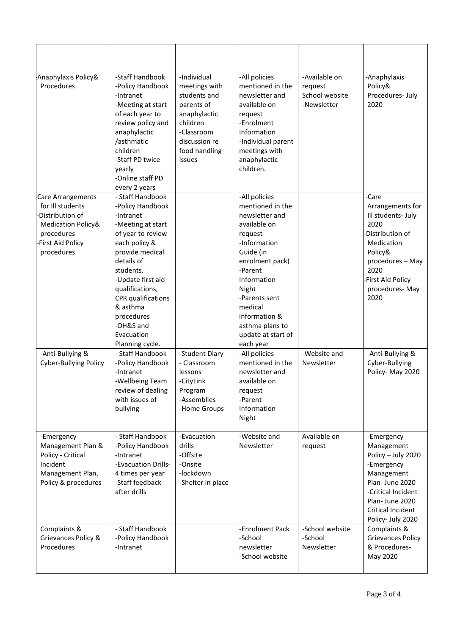| Anaphylaxis Policy&<br>Procedures                                                                                                  | -Staff Handbook<br>-Policy Handbook<br>-Intranet<br>-Meeting at start<br>of each year to<br>review policy and<br>anaphylactic<br>/asthmatic<br>children<br>-Staff PD twice<br>yearly<br>-Online staff PD<br>every 2 years                                                                                                                                                           | -Individual<br>meetings with<br>students and<br>parents of<br>anaphylactic<br>children<br>-Classroom<br>discussion re<br>food handling<br>issues | -All policies<br>mentioned in the<br>newsletter and<br>available on<br>request<br>-Enrolment<br>Information<br>-Individual parent<br>meetings with<br>anaphylactic<br>children.                                                                                                                                                                      | -Available on<br>request<br>School website<br>-Newsletter | -Anaphylaxis<br>Policy&<br>Procedures-July<br>2020                                                                                                                                                               |
|------------------------------------------------------------------------------------------------------------------------------------|-------------------------------------------------------------------------------------------------------------------------------------------------------------------------------------------------------------------------------------------------------------------------------------------------------------------------------------------------------------------------------------|--------------------------------------------------------------------------------------------------------------------------------------------------|------------------------------------------------------------------------------------------------------------------------------------------------------------------------------------------------------------------------------------------------------------------------------------------------------------------------------------------------------|-----------------------------------------------------------|------------------------------------------------------------------------------------------------------------------------------------------------------------------------------------------------------------------|
| Care Arrangements<br>for III students                                                                                              | - Staff Handbook<br>-Policy Handbook                                                                                                                                                                                                                                                                                                                                                |                                                                                                                                                  | -All policies<br>mentioned in the                                                                                                                                                                                                                                                                                                                    |                                                           | -Care<br>Arrangements for                                                                                                                                                                                        |
| Distribution of<br>Medication Policy&<br>procedures<br>First Aid Policy<br>procedures<br>-Anti-Bullying &<br>Cyber-Bullying Policy | -Intranet<br>-Meeting at start<br>of year to review<br>each policy &<br>provide medical<br>details of<br>students.<br>-Update first aid<br>qualifications,<br>CPR qualifications<br>& asthma<br>procedures<br>-OH&S and<br>Evacuation<br>Planning cycle.<br>- Staff Handbook<br>-Policy Handbook<br>-Intranet<br>-Wellbeing Team<br>review of dealing<br>with issues of<br>bullying | -Student Diary<br>- Classroom<br>lessons<br>-CityLink<br>Program<br>-Assemblies<br>-Home Groups                                                  | newsletter and<br>available on<br>request<br>-Information<br>Guide (in<br>enrolment pack)<br>-Parent<br>Information<br>Night<br>-Parents sent<br>medical<br>information &<br>asthma plans to<br>update at start of<br>each year<br>-All policies<br>mentioned in the<br>newsletter and<br>available on<br>request<br>-Parent<br>Information<br>Night | -Website and<br>Newsletter                                | Ill students- July<br>2020<br>Distribution of<br>Medication<br>Policy&<br>procedures - May<br>2020<br><b>First Aid Policy</b><br>procedures-May<br>2020<br>-Anti-Bullying &<br>Cyber-Bullying<br>Policy-May 2020 |
| -Emergency<br>Management Plan &<br>Policy - Critical<br>Incident<br>Management Plan,<br>Policy & procedures                        | - Staff Handbook<br>-Policy Handbook<br>-Intranet<br>-Evacuation Drills-<br>4 times per year<br>-Staff feedback<br>after drills                                                                                                                                                                                                                                                     | -Evacuation<br>drills<br>-Offsite<br>-Onsite<br>-lockdown<br>-Shelter in place                                                                   | -Website and<br>Newsletter                                                                                                                                                                                                                                                                                                                           | Available on<br>request                                   | -Emergency<br>Management<br>Policy - July 2020<br>-Emergency<br>Management<br>Plan- June 2020<br>-Critical Incident<br>Plan- June 2020<br>Critical Incident<br>Policy- July 2020                                 |
| Complaints &<br>Grievances Policy &<br>Procedures                                                                                  | - Staff Handbook<br>-Policy Handbook<br>-Intranet                                                                                                                                                                                                                                                                                                                                   |                                                                                                                                                  | -Enrolment Pack<br>-School<br>newsletter<br>-School website                                                                                                                                                                                                                                                                                          | -School website<br>-School<br>Newsletter                  | Complaints &<br><b>Grievances Policy</b><br>& Procedures-<br>May 2020                                                                                                                                            |